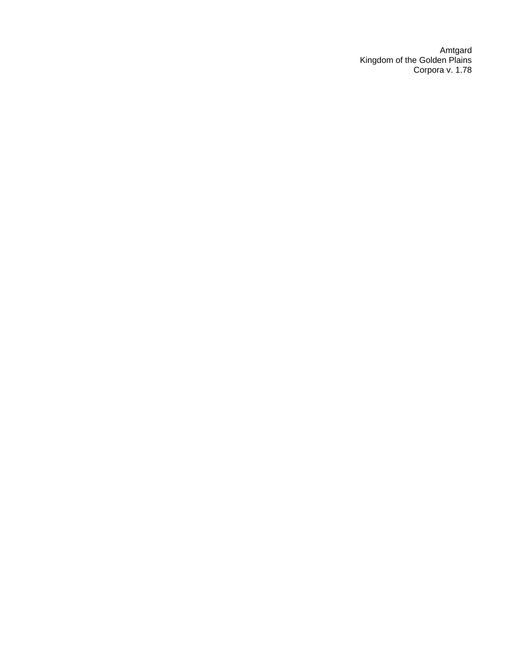Amtgard Kingdom of the Golden Plains Corpora v. 1.78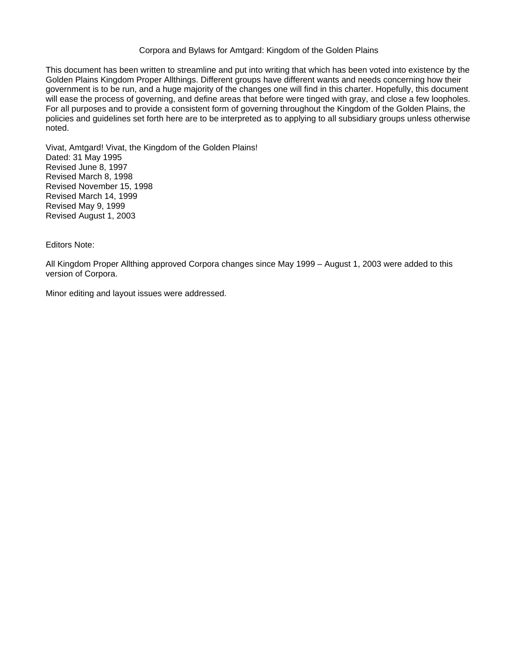#### Corpora and Bylaws for Amtgard: Kingdom of the Golden Plains

This document has been written to streamline and put into writing that which has been voted into existence by the Golden Plains Kingdom Proper Allthings. Different groups have different wants and needs concerning how their government is to be run, and a huge majority of the changes one will find in this charter. Hopefully, this document will ease the process of governing, and define areas that before were tinged with gray, and close a few loopholes. For all purposes and to provide a consistent form of governing throughout the Kingdom of the Golden Plains, the policies and guidelines set forth here are to be interpreted as to applying to all subsidiary groups unless otherwise noted.

Vivat, Amtgard! Vivat, the Kingdom of the Golden Plains! Dated: 31 May 1995 Revised June 8, 1997 Revised March 8, 1998 Revised November 15, 1998 Revised March 14, 1999 Revised May 9, 1999 Revised August 1, 2003

Editors Note:

All Kingdom Proper Allthing approved Corpora changes since May 1999 – August 1, 2003 were added to this version of Corpora.

Minor editing and layout issues were addressed.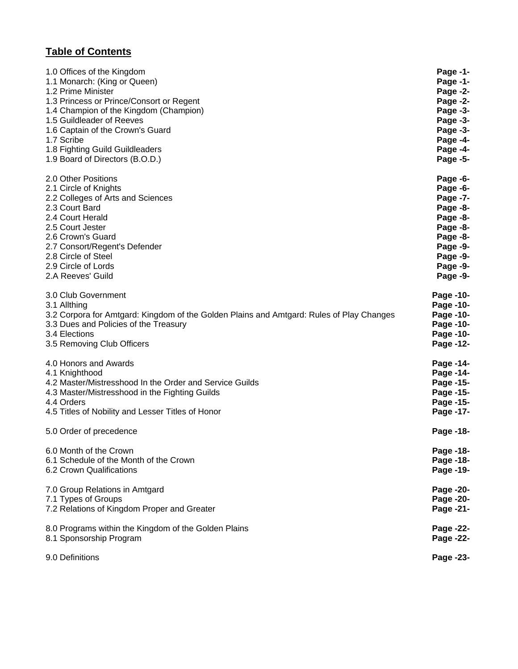# **Table of Contents**

| 1.0 Offices of the Kingdom                                                               | Page -1-  |
|------------------------------------------------------------------------------------------|-----------|
| 1.1 Monarch: (King or Queen)                                                             | Page -1-  |
| 1.2 Prime Minister                                                                       | Page -2-  |
| 1.3 Princess or Prince/Consort or Regent                                                 | Page -2-  |
| 1.4 Champion of the Kingdom (Champion)                                                   | Page -3-  |
| 1.5 Guildleader of Reeves                                                                | Page -3-  |
| 1.6 Captain of the Crown's Guard                                                         | Page -3-  |
| 1.7 Scribe                                                                               | Page -4-  |
| 1.8 Fighting Guild Guildleaders                                                          | Page -4-  |
| 1.9 Board of Directors (B.O.D.)                                                          | Page -5-  |
| 2.0 Other Positions                                                                      | Page -6-  |
| 2.1 Circle of Knights                                                                    | Page -6-  |
| 2.2 Colleges of Arts and Sciences                                                        | Page -7-  |
| 2.3 Court Bard                                                                           | Page -8-  |
| 2.4 Court Herald                                                                         | Page -8-  |
| 2.5 Court Jester                                                                         | Page -8-  |
| 2.6 Crown's Guard                                                                        | Page -8-  |
| 2.7 Consort/Regent's Defender                                                            | Page -9-  |
| 2.8 Circle of Steel                                                                      | Page -9-  |
| 2.9 Circle of Lords                                                                      | Page -9-  |
| 2.A Reeves' Guild                                                                        | Page -9-  |
| 3.0 Club Government                                                                      | Page -10- |
| 3.1 Allthing                                                                             | Page -10- |
| 3.2 Corpora for Amtgard: Kingdom of the Golden Plains and Amtgard: Rules of Play Changes | Page -10- |
| 3.3 Dues and Policies of the Treasury                                                    | Page -10- |
| 3.4 Elections                                                                            | Page -10- |
| 3.5 Removing Club Officers                                                               | Page -12- |
| 4.0 Honors and Awards                                                                    | Page -14- |
| 4.1 Knighthood                                                                           | Page -14- |
| 4.2 Master/Mistresshood In the Order and Service Guilds                                  | Page -15- |
| 4.3 Master/Mistresshood in the Fighting Guilds                                           | Page -15- |
| 4.4 Orders                                                                               | Page -15- |
| 4.5 Titles of Nobility and Lesser Titles of Honor                                        | Page -17- |
| 5.0 Order of precedence                                                                  | Page -18- |
| 6.0 Month of the Crown                                                                   | Page -18- |
| 6.1 Schedule of the Month of the Crown                                                   | Page -18- |
| 6.2 Crown Qualifications                                                                 | Page -19- |
| 7.0 Group Relations in Amtgard                                                           | Page -20- |
| 7.1 Types of Groups                                                                      | Page -20- |
| 7.2 Relations of Kingdom Proper and Greater                                              | Page -21- |
| 8.0 Programs within the Kingdom of the Golden Plains                                     | Page -22- |
| 8.1 Sponsorship Program                                                                  | Page -22- |
| 9.0 Definitions                                                                          | Page -23- |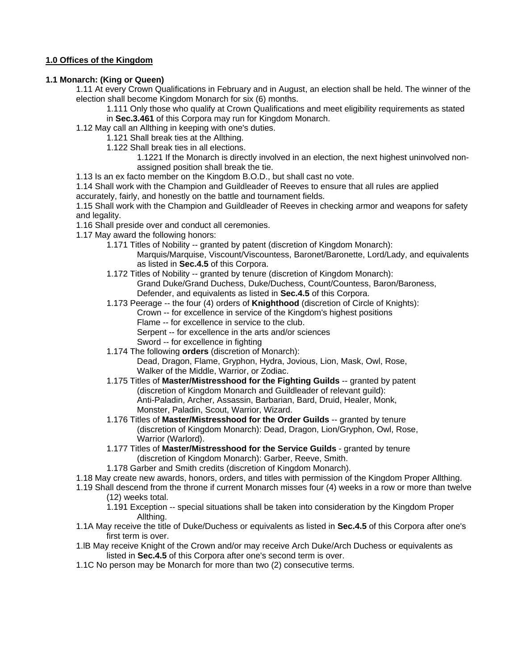# **1.0 Offices of the Kingdom**

# **1.1 Monarch: (King or Queen)**

1.11 At every Crown Qualifications in February and in August, an election shall be held. The winner of the election shall become Kingdom Monarch for six (6) months.

1.111 Only those who qualify at Crown Qualifications and meet eligibility requirements as stated in **Sec.3.461** of this Corpora may run for Kingdom Monarch.

1.12 May call an Allthing in keeping with one's duties.

1.121 Shall break ties at the Allthing.

1.122 Shall break ties in all elections.

1.1221 If the Monarch is directly involved in an election, the next highest uninvolved nonassigned position shall break the tie.

1.13 Is an ex facto member on the Kingdom B.O.D., but shall cast no vote.

1.14 Shall work with the Champion and Guildleader of Reeves to ensure that all rules are applied accurately, fairly, and honestly on the battle and tournament fields.

1.15 Shall work with the Champion and Guildleader of Reeves in checking armor and weapons for safety and legality.

1.16 Shall preside over and conduct all ceremonies.

- 1.17 May award the following honors:
	- 1.171 Titles of Nobility -- granted by patent (discretion of Kingdom Monarch): Marquis/Marquise, Viscount/Viscountess, Baronet/Baronette, Lord/Lady, and equivalents as listed in **Sec.4.5** of this Corpora.
	- 1.172 Titles of Nobility -- granted by tenure (discretion of Kingdom Monarch): Grand Duke/Grand Duchess, Duke/Duchess, Count/Countess, Baron/Baroness, Defender, and equivalents as listed in **Sec.4.5** of this Corpora.
	- 1.173 Peerage -- the four (4) orders of **Knighthood** (discretion of Circle of Knights):
		- Crown -- for excellence in service of the Kingdom's highest positions Flame -- for excellence in service to the club.
			- Serpent -- for excellence in the arts and/or sciences
			- Sword -- for excellence in fighting
		-
	- 1.174 The following **orders** (discretion of Monarch): Dead, Dragon, Flame, Gryphon, Hydra, Jovious, Lion, Mask, Owl, Rose, Walker of the Middle, Warrior, or Zodiac.
	- 1.175 Titles of **Master/Mistresshood for the Fighting Guilds** -- granted by patent (discretion of Kingdom Monarch and Guildleader of relevant guild): Anti-Paladin, Archer, Assassin, Barbarian, Bard, Druid, Healer, Monk, Monster, Paladin, Scout, Warrior, Wizard.
	- 1.176 Titles of **Master/Mistresshood for the Order Guilds** -- granted by tenure (discretion of Kingdom Monarch): Dead, Dragon, Lion/Gryphon, Owl, Rose, Warrior (Warlord).
	- 1.177 Titles of **Master/Mistresshood for the Service Guilds**  granted by tenure (discretion of Kingdom Monarch): Garber, Reeve, Smith.
	- 1.178 Garber and Smith credits (discretion of Kingdom Monarch).
- 1.18 May create new awards, honors, orders, and titles with permission of the Kingdom Proper Allthing.
- 1.19 Shall descend from the throne if current Monarch misses four (4) weeks in a row or more than twelve (12) weeks total.
	- 1.191 Exception -- special situations shall be taken into consideration by the Kingdom Proper Allthing.
- 1.1A May receive the title of Duke/Duchess or equivalents as listed in **Sec.4.5** of this Corpora after one's first term is over.
- 1.lB May receive Knight of the Crown and/or may receive Arch Duke/Arch Duchess or equivalents as listed in **Sec.4.5** of this Corpora after one's second term is over.
- 1.1C No person may be Monarch for more than two (2) consecutive terms.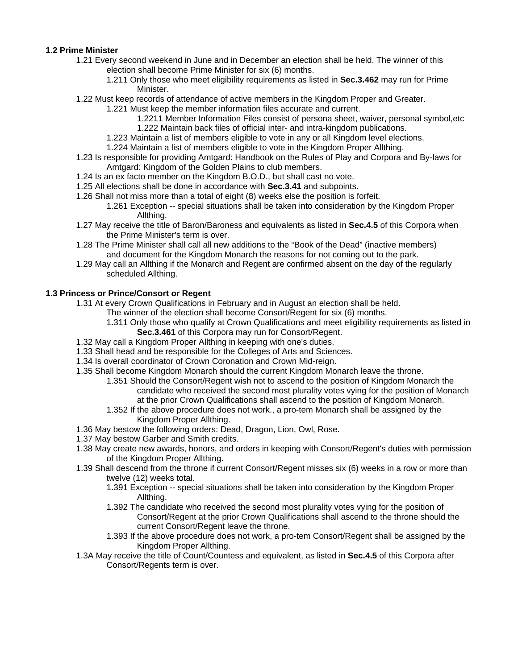## **1.2 Prime Minister**

- 1.21 Every second weekend in June and in December an election shall be held. The winner of this election shall become Prime Minister for six (6) months.
	- 1.211 Only those who meet eligibility requirements as listed in **Sec.3.462** may run for Prime Minister.
- 1.22 Must keep records of attendance of active members in the Kingdom Proper and Greater.
	- 1.221 Must keep the member information files accurate and current.
		- 1.2211 Member Information Files consist of persona sheet, waiver, personal symbol,etc 1.222 Maintain back files of official inter- and intra-kingdom publications.
	- 1.223 Maintain a list of members eligible to vote in any or all Kingdom level elections.
	- 1.224 Maintain a list of members eligible to vote in the Kingdom Proper Allthing.
- 1.23 Is responsible for providing Amtgard: Handbook on the Rules of Play and Corpora and By-laws for Amtgard: Kingdom of the Golden Plains to club members.
- 1.24 Is an ex facto member on the Kingdom B.O.D., but shall cast no vote.
- 1.25 All elections shall be done in accordance with **Sec.3.41** and subpoints.
- 1.26 Shall not miss more than a total of eight (8) weeks else the position is forfeit.
	- 1.261 Exception -- special situations shall be taken into consideration by the Kingdom Proper Allthing.
- 1.27 May receive the title of Baron/Baroness and equivalents as listed in **Sec.4.5** of this Corpora when the Prime Minister's term is over.
- 1.28 The Prime Minister shall call all new additions to the "Book of the Dead" (inactive members) and document for the Kingdom Monarch the reasons for not coming out to the park.
- 1.29 May call an Allthing if the Monarch and Regent are confirmed absent on the day of the regularly scheduled Allthing.

# **1.3 Princess or Prince/Consort or Regent**

- 1.31 At every Crown Qualifications in February and in August an election shall be held.
	- The winner of the election shall become Consort/Regent for six (6) months.
		- 1.311 Only those who qualify at Crown Qualifications and meet eligibility requirements as listed in **Sec.3.461** of this Corpora may run for Consort/Regent.
- 1.32 May call a Kingdom Proper Allthing in keeping with one's duties.
- 1.33 Shall head and be responsible for the Colleges of Arts and Sciences.
- 1.34 Is overall coordinator of Crown Coronation and Crown Mid-reign.
- 1.35 Shall become Kingdom Monarch should the current Kingdom Monarch leave the throne.
	- 1.351 Should the Consort/Regent wish not to ascend to the position of Kingdom Monarch the candidate who received the second most plurality votes vying for the position of Monarch at the prior Crown Qualifications shall ascend to the position of Kingdom Monarch.
	- 1.352 If the above procedure does not work., a pro-tem Monarch shall be assigned by the Kingdom Proper Allthing.
- 1.36 May bestow the following orders: Dead, Dragon, Lion, Owl, Rose.
- 1.37 May bestow Garber and Smith credits.
- 1.38 May create new awards, honors, and orders in keeping with Consort/Regent's duties with permission of the Kingdom Proper Allthing.
- 1.39 Shall descend from the throne if current Consort/Regent misses six (6) weeks in a row or more than twelve (12) weeks total.
	- 1.391 Exception -- special situations shall be taken into consideration by the Kingdom Proper Allthing.
	- 1.392 The candidate who received the second most plurality votes vying for the position of Consort/Regent at the prior Crown Qualifications shall ascend to the throne should the current Consort/Regent leave the throne.
	- 1.393 If the above procedure does not work, a pro-tem Consort/Regent shall be assigned by the Kingdom Proper Allthing.
- 1.3A May receive the title of Count/Countess and equivalent, as listed in **Sec.4.5** of this Corpora after Consort/Regents term is over.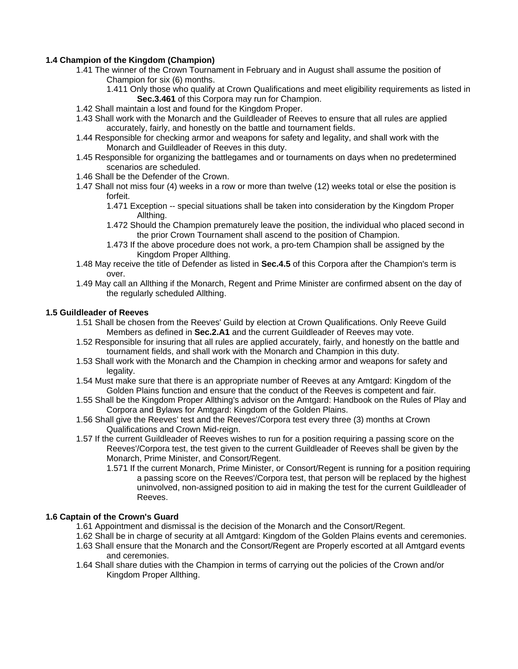# **1.4 Champion of the Kingdom (Champion)**

- 1.41 The winner of the Crown Tournament in February and in August shall assume the position of Champion for six (6) months.
	- 1.411 Only those who qualify at Crown Qualifications and meet eligibility requirements as listed in **Sec.3.461** of this Corpora may run for Champion.
- 1.42 Shall maintain a lost and found for the Kingdom Proper.
- 1.43 Shall work with the Monarch and the Guildleader of Reeves to ensure that all rules are applied accurately, fairly, and honestly on the battle and tournament fields.
- 1.44 Responsible for checking armor and weapons for safety and legality, and shall work with the Monarch and Guildleader of Reeves in this duty.
- 1.45 Responsible for organizing the battlegames and or tournaments on days when no predetermined scenarios are scheduled.
- 1.46 Shall be the Defender of the Crown.
- 1.47 Shall not miss four (4) weeks in a row or more than twelve (12) weeks total or else the position is forfeit.
	- 1.471 Exception -- special situations shall be taken into consideration by the Kingdom Proper Allthing.
	- 1.472 Should the Champion prematurely leave the position, the individual who placed second in the prior Crown Tournament shall ascend to the position of Champion.
	- 1.473 If the above procedure does not work, a pro-tem Champion shall be assigned by the Kingdom Proper Allthing.
- 1.48 May receive the title of Defender as listed in **Sec.4.5** of this Corpora after the Champion's term is over.
- 1.49 May call an Allthing if the Monarch, Regent and Prime Minister are confirmed absent on the day of the regularly scheduled Allthing.

#### **1.5 Guildleader of Reeves**

- 1.51 Shall be chosen from the Reeves' Guild by election at Crown Qualifications. Only Reeve Guild Members as defined in **Sec.2.A1** and the current Guildleader of Reeves may vote.
- 1.52 Responsible for insuring that all rules are applied accurately, fairly, and honestly on the battle and tournament fields, and shall work with the Monarch and Champion in this duty.
- 1.53 Shall work with the Monarch and the Champion in checking armor and weapons for safety and legality.
- 1.54 Must make sure that there is an appropriate number of Reeves at any Amtgard: Kingdom of the Golden Plains function and ensure that the conduct of the Reeves is competent and fair.
- 1.55 Shall be the Kingdom Proper Allthing's advisor on the Amtgard: Handbook on the Rules of Play and Corpora and Bylaws for Amtgard: Kingdom of the Golden Plains.
- 1.56 Shall give the Reeves' test and the Reeves'/Corpora test every three (3) months at Crown Qualifications and Crown Mid-reign.
- 1.57 If the current Guildleader of Reeves wishes to run for a position requiring a passing score on the Reeves'/Corpora test, the test given to the current Guildleader of Reeves shall be given by the Monarch, Prime Minister, and Consort/Regent.
	- 1.571 If the current Monarch, Prime Minister, or Consort/Regent is running for a position requiring a passing score on the Reeves'/Corpora test, that person will be replaced by the highest uninvolved, non-assigned position to aid in making the test for the current Guildleader of Reeves.

# **1.6 Captain of the Crown's Guard**

- 1.61 Appointment and dismissal is the decision of the Monarch and the Consort/Regent.
- 1.62 Shall be in charge of security at all Amtgard: Kingdom of the Golden Plains events and ceremonies.
- 1.63 Shall ensure that the Monarch and the Consort/Regent are Properly escorted at all Amtgard events and ceremonies.
- 1.64 Shall share duties with the Champion in terms of carrying out the policies of the Crown and/or Kingdom Proper Allthing.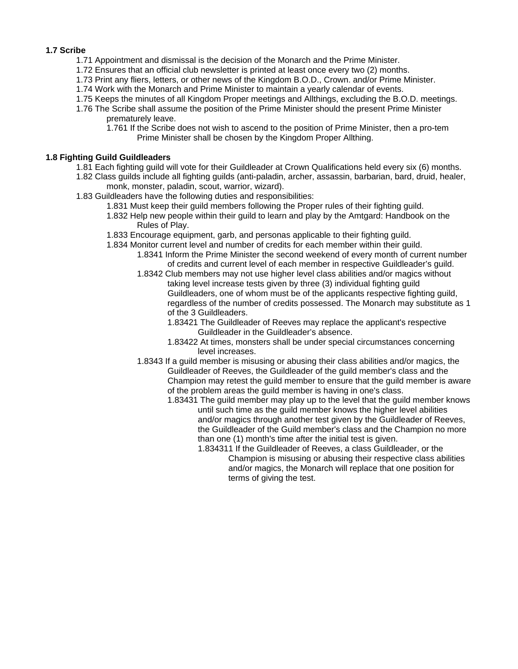#### **1.7 Scribe**

- 1.71 Appointment and dismissal is the decision of the Monarch and the Prime Minister.
- 1.72 Ensures that an official club newsletter is printed at least once every two (2) months.
- 1.73 Print any fliers, letters, or other news of the Kingdom B.O.D., Crown. and/or Prime Minister.
- 1.74 Work with the Monarch and Prime Minister to maintain a yearly calendar of events.
- 1.75 Keeps the minutes of all Kingdom Proper meetings and Allthings, excluding the B.O.D. meetings.
- 1.76 The Scribe shall assume the position of the Prime Minister should the present Prime Minister prematurely leave.
	- 1.761 If the Scribe does not wish to ascend to the position of Prime Minister, then a pro-tem Prime Minister shall be chosen by the Kingdom Proper Allthing.

# **1.8 Fighting Guild Guildleaders**

- 1.81 Each fighting guild will vote for their Guildleader at Crown Qualifications held every six (6) months.
- 1.82 Class guilds include all fighting guilds (anti-paladin, archer, assassin, barbarian, bard, druid, healer, monk, monster, paladin, scout, warrior, wizard).
- 1.83 Guildleaders have the following duties and responsibilities:
	- 1.831 Must keep their guild members following the Proper rules of their fighting guild.
	- 1.832 Help new people within their guild to learn and play by the Amtgard: Handbook on the Rules of Play.
	- 1.833 Encourage equipment, garb, and personas applicable to their fighting guild.
	- 1.834 Monitor current level and number of credits for each member within their guild.
		- 1.8341 Inform the Prime Minister the second weekend of every month of current number of credits and current level of each member in respective Guildleader's guild.
		- 1.8342 Club members may not use higher level class abilities and/or magics without taking level increase tests given by three (3) individual fighting guild Guildleaders, one of whom must be of the applicants respective fighting guild, regardless of the number of credits possessed. The Monarch may substitute as 1 of the 3 Guildleaders.
			- 1.83421 The Guildleader of Reeves may replace the applicant's respective Guildleader in the Guildleader's absence.
			- 1.83422 At times, monsters shall be under special circumstances concerning level increases.
		- 1.8343 If a guild member is misusing or abusing their class abilities and/or magics, the Guildleader of Reeves, the Guildleader of the guild member's class and the Champion may retest the guild member to ensure that the guild member is aware of the problem areas the guild member is having in one's class.
			- 1.83431 The guild member may play up to the level that the guild member knows until such time as the guild member knows the higher level abilities and/or magics through another test given by the Guildleader of Reeves, the Guildleader of the Guild member's class and the Champion no more than one (1) month's time after the initial test is given.
				- 1.834311 If the Guildleader of Reeves, a class Guildleader, or the Champion is misusing or abusing their respective class abilities and/or magics, the Monarch will replace that one position for terms of giving the test.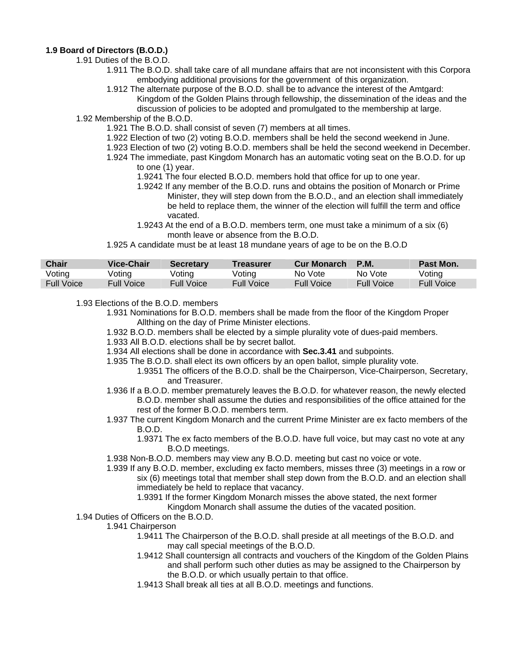#### **1.9 Board of Directors (B.O.D.)**

- 1.91 Duties of the B.O.D.
	- 1.911 The B.O.D. shall take care of all mundane affairs that are not inconsistent with this Corpora embodying additional provisions for the government of this organization.
	- 1.912 The alternate purpose of the B.O.D. shall be to advance the interest of the Amtgard: Kingdom of the Golden Plains through fellowship, the dissemination of the ideas and the discussion of policies to be adopted and promulgated to the membership at large.

1.92 Membership of the B.O.D.

- 1.921 The B.O.D. shall consist of seven (7) members at all times.
- 1.922 Election of two (2) voting B.O.D. members shall be held the second weekend in June.
- 1.923 Election of two (2) voting B.O.D. members shall be held the second weekend in December.
- 1.924 The immediate, past Kingdom Monarch has an automatic voting seat on the B.O.D. for up to one (1) year.
	- 1.9241 The four elected B.O.D. members hold that office for up to one year.
	- 1.9242 If any member of the B.O.D. runs and obtains the position of Monarch or Prime Minister, they will step down from the B.O.D., and an election shall immediately be held to replace them, the winner of the election will fulfill the term and office vacated.
	- 1.9243 At the end of a B.O.D. members term, one must take a minimum of a six (6) month leave or absence from the B.O.D.

1.925 A candidate must be at least 18 mundane years of age to be on the B.O.D

| <b>Chair</b>      | Vice-Chair        | <b>Secretary</b> | Treasurer         | <b>Cur Monarch</b> | <b>P.M.</b>       | Past Mon.  |
|-------------------|-------------------|------------------|-------------------|--------------------|-------------------|------------|
| Voting            | √oting            | Voting           | Voting            | No Vote            | No Vote           | Voting     |
| <b>Full Voice</b> | <b>Full Voice</b> | Full Voice       | <b>Full Voice</b> | <b>Full Voice</b>  | <b>Full Voice</b> | Full Voice |

1.93 Elections of the B.O.D. members

- 1.931 Nominations for B.O.D. members shall be made from the floor of the Kingdom Proper Allthing on the day of Prime Minister elections.
	- 1.932 B.O.D. members shall be elected by a simple plurality vote of dues-paid members.
	- 1.933 All B.O.D. elections shall be by secret ballot.
	- 1.934 All elections shall be done in accordance with **Sec.3.41** and subpoints.
	- 1.935 The B.O.D. shall elect its own officers by an open ballot, simple plurality vote.
		- 1.9351 The officers of the B.O.D. shall be the Chairperson, Vice-Chairperson, Secretary, and Treasurer.
	- 1.936 If a B.O.D. member prematurely leaves the B.O.D. for whatever reason, the newly elected B.O.D. member shall assume the duties and responsibilities of the office attained for the rest of the former B.O.D. members term.
	- 1.937 The current Kingdom Monarch and the current Prime Minister are ex facto members of the B.O.D.
		- 1.9371 The ex facto members of the B.O.D. have full voice, but may cast no vote at any B.O.D meetings.
	- 1.938 Non-B.O.D. members may view any B.O.D. meeting but cast no voice or vote.
	- 1.939 If any B.O.D. member, excluding ex facto members, misses three (3) meetings in a row or six (6) meetings total that member shall step down from the B.O.D. and an election shall immediately be held to replace that vacancy.
		- 1.9391 If the former Kingdom Monarch misses the above stated, the next former
			- Kingdom Monarch shall assume the duties of the vacated position.
- 1.94 Duties of Officers on the B.O.D.

#### 1.941 Chairperson

- 1.9411 The Chairperson of the B.O.D. shall preside at all meetings of the B.O.D. and may call special meetings of the B.O.D.
- 1.9412 Shall countersign all contracts and vouchers of the Kingdom of the Golden Plains and shall perform such other duties as may be assigned to the Chairperson by the B.O.D. or which usually pertain to that office.
- 1.9413 Shall break all ties at all B.O.D. meetings and functions.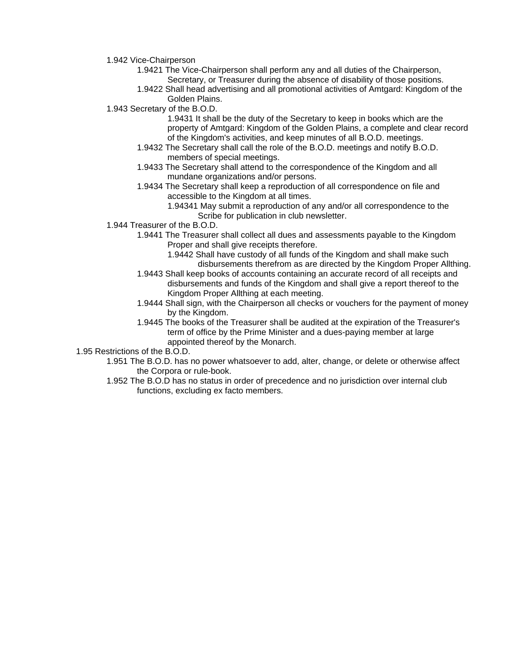1.942 Vice-Chairperson

- 1.9421 The Vice-Chairperson shall perform any and all duties of the Chairperson, Secretary, or Treasurer during the absence of disability of those positions.
- 1.9422 Shall head advertising and all promotional activities of Amtgard: Kingdom of the Golden Plains.
- 1.943 Secretary of the B.O.D.
	- 1.9431 It shall be the duty of the Secretary to keep in books which are the property of Amtgard: Kingdom of the Golden Plains, a complete and clear record of the Kingdom's activities, and keep minutes of all B.O.D. meetings.
	- 1.9432 The Secretary shall call the role of the B.O.D. meetings and notify B.O.D. members of special meetings.
	- 1.9433 The Secretary shall attend to the correspondence of the Kingdom and all mundane organizations and/or persons.
	- 1.9434 The Secretary shall keep a reproduction of all correspondence on file and accessible to the Kingdom at all times.
		- 1.94341 May submit a reproduction of any and/or all correspondence to the Scribe for publication in club newsletter.
- 1.944 Treasurer of the B.O.D.
	- 1.9441 The Treasurer shall collect all dues and assessments payable to the Kingdom Proper and shall give receipts therefore.
		- 1.9442 Shall have custody of all funds of the Kingdom and shall make such disbursements therefrom as are directed by the Kingdom Proper Allthing.
	- 1.9443 Shall keep books of accounts containing an accurate record of all receipts and disbursements and funds of the Kingdom and shall give a report thereof to the Kingdom Proper Allthing at each meeting.
	- 1.9444 Shall sign, with the Chairperson all checks or vouchers for the payment of money by the Kingdom.
	- 1.9445 The books of the Treasurer shall be audited at the expiration of the Treasurer's term of office by the Prime Minister and a dues-paying member at large appointed thereof by the Monarch.

1.95 Restrictions of the B.O.D.

- 1.951 The B.O.D. has no power whatsoever to add, alter, change, or delete or otherwise affect the Corpora or rule-book.
- 1.952 The B.O.D has no status in order of precedence and no jurisdiction over internal club functions, excluding ex facto members.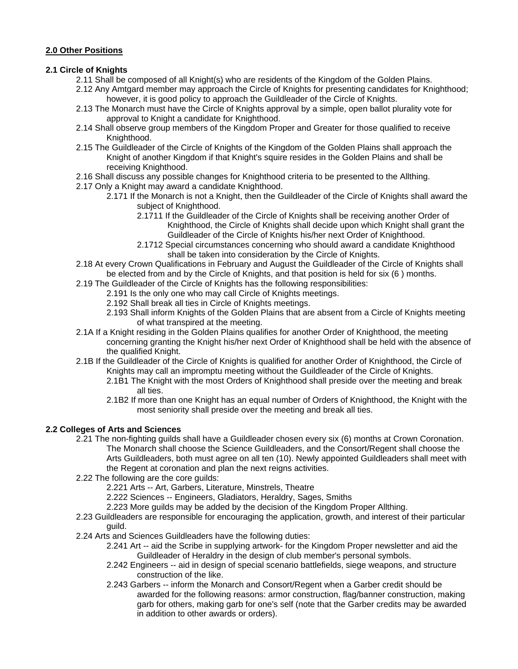# **2.0 Other Positions**

# **2.1 Circle of Knights**

- 2.11 Shall be composed of all Knight(s) who are residents of the Kingdom of the Golden Plains.
- 2.12 Any Amtgard member may approach the Circle of Knights for presenting candidates for Knighthood; however, it is good policy to approach the Guildleader of the Circle of Knights.
- 2.13 The Monarch must have the Circle of Knights approval by a simple, open ballot plurality vote for approval to Knight a candidate for Knighthood.
- 2.14 Shall observe group members of the Kingdom Proper and Greater for those qualified to receive Knighthood.
- 2.15 The Guildleader of the Circle of Knights of the Kingdom of the Golden Plains shall approach the Knight of another Kingdom if that Knight's squire resides in the Golden Plains and shall be receiving Knighthood.
- 2.16 Shall discuss any possible changes for Knighthood criteria to be presented to the Allthing.
- 2.17 Only a Knight may award a candidate Knighthood.
	- 2.171 If the Monarch is not a Knight, then the Guildleader of the Circle of Knights shall award the subject of Knighthood.
		- 2.1711 If the Guildleader of the Circle of Knights shall be receiving another Order of Knighthood, the Circle of Knights shall decide upon which Knight shall grant the Guildleader of the Circle of Knights his/her next Order of Knighthood.
		- 2.1712 Special circumstances concerning who should award a candidate Knighthood shall be taken into consideration by the Circle of Knights.
- 2.18 At every Crown Qualifications in February and August the Guildleader of the Circle of Knights shall be elected from and by the Circle of Knights, and that position is held for six (6 ) months.
- 2.19 The Guildleader of the Circle of Knights has the following responsibilities:
	- 2.191 Is the only one who may call Circle of Knights meetings.
	- 2.192 Shall break all ties in Circle of Knights meetings.
	- 2.193 Shall inform Knights of the Golden Plains that are absent from a Circle of Knights meeting of what transpired at the meeting.
- 2.1A If a Knight residing in the Golden Plains qualifies for another Order of Knighthood, the meeting concerning granting the Knight his/her next Order of Knighthood shall be held with the absence of the qualified Knight.
- 2.1B If the Guildleader of the Circle of Knights is qualified for another Order of Knighthood, the Circle of Knights may call an impromptu meeting without the Guildleader of the Circle of Knights.
	- 2.1B1 The Knight with the most Orders of Knighthood shall preside over the meeting and break all ties.
	- 2.1B2 If more than one Knight has an equal number of Orders of Knighthood, the Knight with the most seniority shall preside over the meeting and break all ties.

# **2.2 Colleges of Arts and Sciences**

- 2.21 The non-fighting guilds shall have a Guildleader chosen every six (6) months at Crown Coronation. The Monarch shall choose the Science Guildleaders, and the Consort/Regent shall choose the Arts Guildleaders, both must agree on all ten (10). Newly appointed Guildleaders shall meet with the Regent at coronation and plan the next reigns activities.
- 2.22 The following are the core guilds:
	- 2.221 Arts -- Art, Garbers, Literature, Minstrels, Theatre
	- 2.222 Sciences -- Engineers, Gladiators, Heraldry, Sages, Smiths
	- 2.223 More guilds may be added by the decision of the Kingdom Proper Allthing.
- 2.23 Guildleaders are responsible for encouraging the application, growth, and interest of their particular guild.
- 2.24 Arts and Sciences Guildleaders have the following duties:
	- 2.241 Art -- aid the Scribe in supplying artwork- for the Kingdom Proper newsletter and aid the Guildleader of Heraldry in the design of club member's personal symbols.
	- 2.242 Engineers -- aid in design of special scenario battlefields, siege weapons, and structure construction of the like.
	- 2.243 Garbers -- inform the Monarch and Consort/Regent when a Garber credit should be awarded for the following reasons: armor construction, flag/banner construction, making garb for others, making garb for one's self (note that the Garber credits may be awarded in addition to other awards or orders).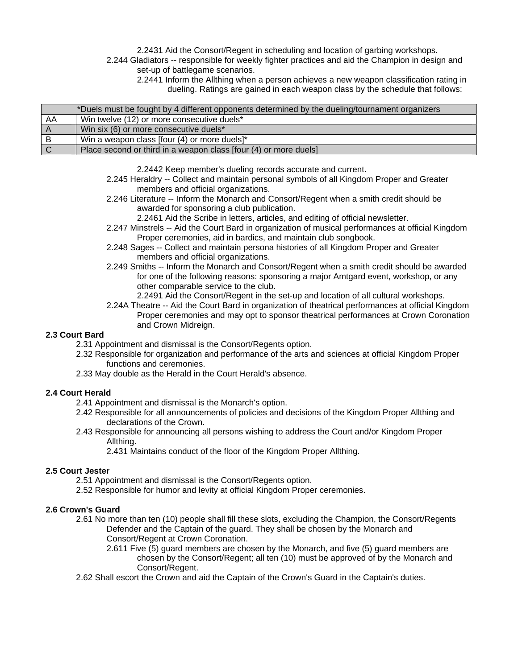2.2431 Aid the Consort/Regent in scheduling and location of garbing workshops.

 2.244 Gladiators -- responsible for weekly fighter practices and aid the Champion in design and set-up of battlegame scenarios.

 2.2441 Inform the Allthing when a person achieves a new weapon classification rating in dueling. Ratings are gained in each weapon class by the schedule that follows:

|             | *Duels must be fought by 4 different opponents determined by the dueling/tournament organizers |
|-------------|------------------------------------------------------------------------------------------------|
| AA          | Win twelve (12) or more consecutive duels*                                                     |
|             | Win six (6) or more consecutive duels*                                                         |
| B           | Win a weapon class [four (4) or more duels]*                                                   |
| $\mathbf C$ | Place second or third in a weapon class [four (4) or more duels]                               |

2.2442 Keep member's dueling records accurate and current.

- 2.245 Heraldry -- Collect and maintain personal symbols of all Kingdom Proper and Greater members and official organizations.
- 2.246 Literature -- Inform the Monarch and Consort/Regent when a smith credit should be awarded for sponsoring a club publication.

2.2461 Aid the Scribe in letters, articles, and editing of official newsletter.

- 2.247 Minstrels -- Aid the Court Bard in organization of musical performances at official Kingdom Proper ceremonies, aid in bardics, and maintain club songbook.
- 2.248 Sages -- Collect and maintain persona histories of all Kingdom Proper and Greater members and official organizations.
- 2.249 Smiths -- Inform the Monarch and Consort/Regent when a smith credit should be awarded for one of the following reasons: sponsoring a major Amtgard event, workshop, or any other comparable service to the club.
	- 2.2491 Aid the Consort/Regent in the set-up and location of all cultural workshops.
- 2.24A Theatre -- Aid the Court Bard in organization of theatrical performances at official Kingdom Proper ceremonies and may opt to sponsor theatrical performances at Crown Coronation and Crown Midreign.

# **2.3 Court Bard**

- 2.31 Appointment and dismissal is the Consort/Regents option.
- 2.32 Responsible for organization and performance of the arts and sciences at official Kingdom Proper functions and ceremonies.
- 2.33 May double as the Herald in the Court Herald's absence.

#### **2.4 Court Herald**

- 2.41 Appointment and dismissal is the Monarch's option.
- 2.42 Responsible for all announcements of policies and decisions of the Kingdom Proper Allthing and declarations of the Crown.
- 2.43 Responsible for announcing all persons wishing to address the Court and/or Kingdom Proper Allthing.

2.431 Maintains conduct of the floor of the Kingdom Proper Allthing.

#### **2.5 Court Jester**

- 2.51 Appointment and dismissal is the Consort/Regents option.
- 2.52 Responsible for humor and levity at official Kingdom Proper ceremonies.

#### **2.6 Crown's Guard**

- 2.61 No more than ten (10) people shall fill these slots, excluding the Champion, the Consort/Regents Defender and the Captain of the guard. They shall be chosen by the Monarch and Consort/Regent at Crown Coronation.
	- 2.611 Five (5) guard members are chosen by the Monarch, and five (5) guard members are chosen by the Consort/Regent; all ten (10) must be approved of by the Monarch and Consort/Regent.
- 2.62 Shall escort the Crown and aid the Captain of the Crown's Guard in the Captain's duties.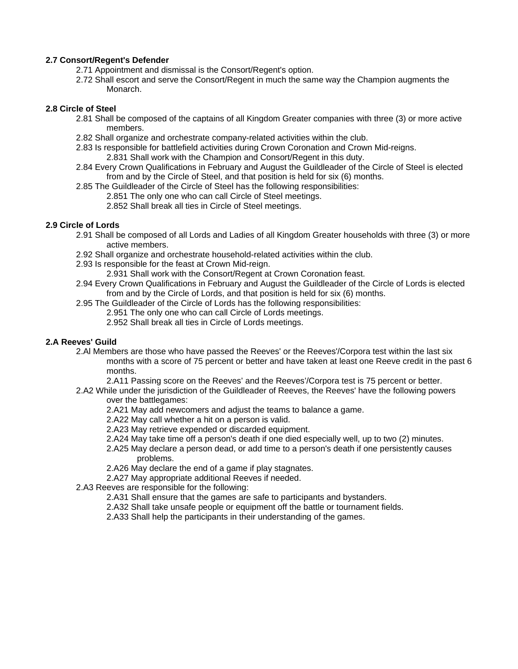## **2.7 Consort/Regent's Defender**

- 2.71 Appointment and dismissal is the Consort/Regent's option.
- 2.72 Shall escort and serve the Consort/Regent in much the same way the Champion augments the Monarch.

#### **2.8 Circle of Steel**

- 2.81 Shall be composed of the captains of all Kingdom Greater companies with three (3) or more active members.
- 2.82 Shall organize and orchestrate company-related activities within the club.
- 2.83 Is responsible for battlefield activities during Crown Coronation and Crown Mid-reigns. 2.831 Shall work with the Champion and Consort/Regent in this duty.
- 2.84 Every Crown Qualifications in February and August the Guildleader of the Circle of Steel is elected from and by the Circle of Steel, and that position is held for six (6) months.
- 2.85 The Guildleader of the Circle of Steel has the following responsibilities:
	- 2.851 The only one who can call Circle of Steel meetings.
	- 2.852 Shall break all ties in Circle of Steel meetings.

# **2.9 Circle of Lords**

- 2.91 Shall be composed of all Lords and Ladies of all Kingdom Greater households with three (3) or more active members.
- 2.92 Shall organize and orchestrate household-related activities within the club.
- 2.93 Is responsible for the feast at Crown Mid-reign.
	- 2.931 Shall work with the Consort/Regent at Crown Coronation feast.
- 2.94 Every Crown Qualifications in February and August the Guildleader of the Circle of Lords is elected from and by the Circle of Lords, and that position is held for six (6) months.
- 2.95 The Guildleader of the Circle of Lords has the following responsibilities:
	- 2.951 The only one who can call Circle of Lords meetings.
		- 2.952 Shall break all ties in Circle of Lords meetings.

# **2.A Reeves' Guild**

- 2.Al Members are those who have passed the Reeves' or the Reeves'/Corpora test within the last six months with a score of 75 percent or better and have taken at least one Reeve credit in the past 6 months.
	- 2.A11 Passing score on the Reeves' and the Reeves'/Corpora test is 75 percent or better.
- 2.A2 While under the jurisdiction of the Guildleader of Reeves, the Reeves' have the following powers over the battlegames:
	- 2.A21 May add newcomers and adjust the teams to balance a game.
	- 2.A22 May call whether a hit on a person is valid.
	- 2.A23 May retrieve expended or discarded equipment.
	- 2.A24 May take time off a person's death if one died especially well, up to two (2) minutes.
	- 2.A25 May declare a person dead, or add time to a person's death if one persistently causes problems.
	- 2.A26 May declare the end of a game if play stagnates.
	- 2.A27 May appropriate additional Reeves if needed.
- 2.A3 Reeves are responsible for the following:
	- 2.A31 Shall ensure that the games are safe to participants and bystanders.
	- 2.A32 Shall take unsafe people or equipment off the battle or tournament fields.
	- 2.A33 Shall help the participants in their understanding of the games.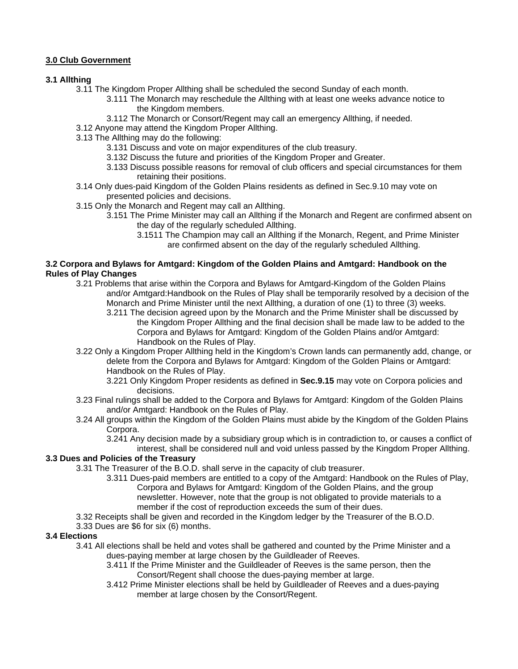# **3.0 Club Government**

# **3.1 Allthing**

- 3.11 The Kingdom Proper Allthing shall be scheduled the second Sunday of each month.
	- 3.111 The Monarch may reschedule the Allthing with at least one weeks advance notice to the Kingdom members.
	- 3.112 The Monarch or Consort/Regent may call an emergency Allthing, if needed.
- 3.12 Anyone may attend the Kingdom Proper Allthing.
- 3.13 The Allthing may do the following:
	- 3.131 Discuss and vote on major expenditures of the club treasury.
	- 3.132 Discuss the future and priorities of the Kingdom Proper and Greater.
	- 3.133 Discuss possible reasons for removal of club officers and special circumstances for them retaining their positions.
- 3.14 Only dues-paid Kingdom of the Golden Plains residents as defined in Sec.9.10 may vote on presented policies and decisions.
- 3.15 Only the Monarch and Regent may call an Allthing.
	- 3.151 The Prime Minister may call an Allthing if the Monarch and Regent are confirmed absent on the day of the regularly scheduled Allthing.
		- 3.1511 The Champion may call an Allthing if the Monarch, Regent, and Prime Minister are confirmed absent on the day of the regularly scheduled Allthing.

#### **3.2 Corpora and Bylaws for Amtgard: Kingdom of the Golden Plains and Amtgard: Handbook on the Rules of Play Changes**

- 3.21 Problems that arise within the Corpora and Bylaws for Amtgard-Kingdom of the Golden Plains and/or Amtgard:Handbook on the Rules of Play shall be temporarily resolved by a decision of the Monarch and Prime Minister until the next Allthing, a duration of one (1) to three (3) weeks.
	- 3.211 The decision agreed upon by the Monarch and the Prime Minister shall be discussed by the Kingdom Proper Allthing and the final decision shall be made law to be added to the Corpora and Bylaws for Amtgard: Kingdom of the Golden Plains and/or Amtgard: Handbook on the Rules of Play.
- 3.22 Only a Kingdom Proper Allthing held in the Kingdom's Crown lands can permanently add, change, or delete from the Corpora and Bylaws for Amtgard: Kingdom of the Golden Plains or Amtgard: Handbook on the Rules of Play.
	- 3.221 Only Kingdom Proper residents as defined in **Sec.9.15** may vote on Corpora policies and decisions.
- 3.23 Final rulings shall be added to the Corpora and Bylaws for Amtgard: Kingdom of the Golden Plains and/or Amtgard: Handbook on the Rules of Play.
- 3.24 All groups within the Kingdom of the Golden Plains must abide by the Kingdom of the Golden Plains Corpora.

3.241 Any decision made by a subsidiary group which is in contradiction to, or causes a conflict of

interest, shall be considered null and void unless passed by the Kingdom Proper Allthing.

# **3.3 Dues and Policies of the Treasury**

- 3.31 The Treasurer of the B.O.D. shall serve in the capacity of club treasurer.
	- 3.311 Dues-paid members are entitled to a copy of the Amtgard: Handbook on the Rules of Play, Corpora and Bylaws for Amtgard: Kingdom of the Golden Plains, and the group newsletter. However, note that the group is not obligated to provide materials to a member if the cost of reproduction exceeds the sum of their dues.
- 3.32 Receipts shall be given and recorded in the Kingdom ledger by the Treasurer of the B.O.D.

# 3.33 Dues are \$6 for six (6) months.

#### **3.4 Elections**

- 3.41 All elections shall be held and votes shall be gathered and counted by the Prime Minister and a dues-paying member at large chosen by the Guildleader of Reeves.
	- 3.411 If the Prime Minister and the Guildleader of Reeves is the same person, then the Consort/Regent shall choose the dues-paying member at large.
	- 3.412 Prime Minister elections shall be held by Guildleader of Reeves and a dues-paying member at large chosen by the Consort/Regent.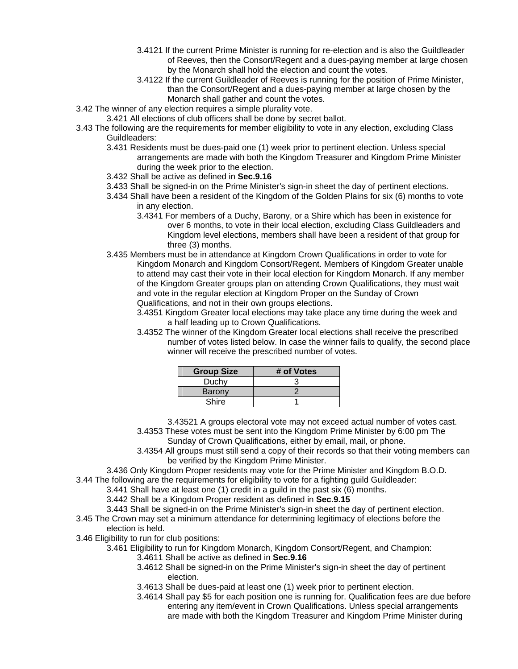- 3.4121 If the current Prime Minister is running for re-election and is also the Guildleader of Reeves, then the Consort/Regent and a dues-paying member at large chosen by the Monarch shall hold the election and count the votes.
- 3.4122 If the current Guildleader of Reeves is running for the position of Prime Minister, than the Consort/Regent and a dues-paying member at large chosen by the Monarch shall gather and count the votes.
- 3.42 The winner of any election requires a simple plurality vote.
	- 3.421 All elections of club officers shall be done by secret ballot.
- 3.43 The following are the requirements for member eligibility to vote in any election, excluding Class Guildleaders:
	- 3.431 Residents must be dues-paid one (1) week prior to pertinent election. Unless special arrangements are made with both the Kingdom Treasurer and Kingdom Prime Minister during the week prior to the election.
	- 3.432 Shall be active as defined in **Sec.9.16**
	- 3.433 Shall be signed-in on the Prime Minister's sign-in sheet the day of pertinent elections.
	- 3.434 Shall have been a resident of the Kingdom of the Golden Plains for six (6) months to vote in any election.
		- 3.4341 For members of a Duchy, Barony, or a Shire which has been in existence for over 6 months, to vote in their local election, excluding Class Guildleaders and Kingdom level elections, members shall have been a resident of that group for three (3) months.
	- 3.435 Members must be in attendance at Kingdom Crown Qualifications in order to vote for Kingdom Monarch and Kingdom Consort/Regent. Members of Kingdom Greater unable to attend may cast their vote in their local election for Kingdom Monarch. If any member of the Kingdom Greater groups plan on attending Crown Qualifications, they must wait and vote in the regular election at Kingdom Proper on the Sunday of Crown Qualifications, and not in their own groups elections.
		- 3.4351 Kingdom Greater local elections may take place any time during the week and a half leading up to Crown Qualifications.
		- 3.4352 The winner of the Kingdom Greater local elections shall receive the prescribed number of votes listed below. In case the winner fails to qualify, the second place winner will receive the prescribed number of votes.

| <b>Group Size</b> | # of Votes |
|-------------------|------------|
| Duchy             |            |
| Barony            |            |
| Shire             |            |

- 3.43521 A groups electoral vote may not exceed actual number of votes cast.
- 3.4353 These votes must be sent into the Kingdom Prime Minister by 6:00 pm The Sunday of Crown Qualifications, either by email, mail, or phone.
- 3.4354 All groups must still send a copy of their records so that their voting members can be verified by the Kingdom Prime Minister.
- 3.436 Only Kingdom Proper residents may vote for the Prime Minister and Kingdom B.O.D.
- 3.44 The following are the requirements for eligibility to vote for a fighting guild Guildleader:
	- 3.441 Shall have at least one (1) credit in a guild in the past six (6) months.
	- 3.442 Shall be a Kingdom Proper resident as defined in **Sec.9.15**
	- 3.443 Shall be signed-in on the Prime Minister's sign-in sheet the day of pertinent election.
- 3.45 The Crown may set a minimum attendance for determining legitimacy of elections before the election is held.
- 3.46 Eligibility to run for club positions:
	- 3.461 Eligibility to run for Kingdom Monarch, Kingdom Consort/Regent, and Champion:
		- 3.4611 Shall be active as defined in **Sec.9.16**
		- 3.4612 Shall be signed-in on the Prime Minister's sign-in sheet the day of pertinent election.
		- 3.4613 Shall be dues-paid at least one (1) week prior to pertinent election.
		- 3.4614 Shall pay \$5 for each position one is running for. Qualification fees are due before entering any item/event in Crown Qualifications. Unless special arrangements are made with both the Kingdom Treasurer and Kingdom Prime Minister during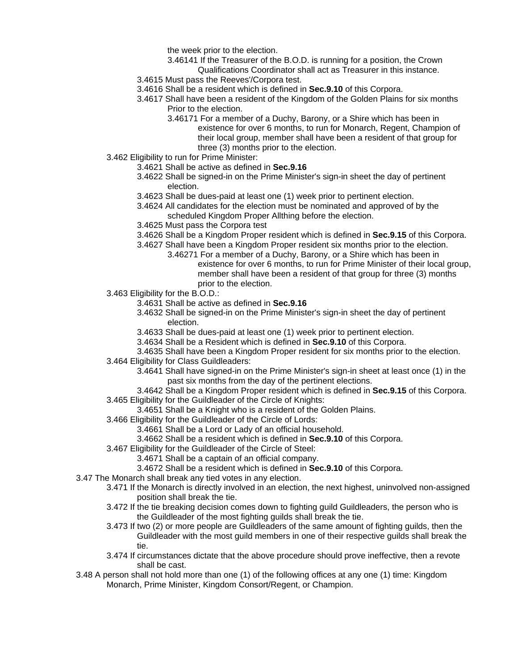the week prior to the election.

- 3.46141 If the Treasurer of the B.O.D. is running for a position, the Crown
- Qualifications Coordinator shall act as Treasurer in this instance.
- 3.4615 Must pass the Reeves'/Corpora test.
- 3.4616 Shall be a resident which is defined in **Sec.9.10** of this Corpora.
- 3.4617 Shall have been a resident of the Kingdom of the Golden Plains for six months Prior to the election.
	- 3.46171 For a member of a Duchy, Barony, or a Shire which has been in existence for over 6 months, to run for Monarch, Regent, Champion of their local group, member shall have been a resident of that group for three (3) months prior to the election.
- 3.462 Eligibility to run for Prime Minister:
	- 3.4621 Shall be active as defined in **Sec.9.16**
	- 3.4622 Shall be signed-in on the Prime Minister's sign-in sheet the day of pertinent election.
	- 3.4623 Shall be dues-paid at least one (1) week prior to pertinent election.
	- 3.4624 All candidates for the election must be nominated and approved of by the scheduled Kingdom Proper Allthing before the election.
	- 3.4625 Must pass the Corpora test
	- 3.4626 Shall be a Kingdom Proper resident which is defined in **Sec.9.15** of this Corpora.
	- 3.4627 Shall have been a Kingdom Proper resident six months prior to the election.
		- 3.46271 For a member of a Duchy, Barony, or a Shire which has been in existence for over 6 months, to run for Prime Minister of their local group, member shall have been a resident of that group for three (3) months prior to the election.
- 3.463 Eligibility for the B.O.D.:
	- 3.4631 Shall be active as defined in **Sec.9.16**
	- 3.4632 Shall be signed-in on the Prime Minister's sign-in sheet the day of pertinent election.
	- 3.4633 Shall be dues-paid at least one (1) week prior to pertinent election.
	- 3.4634 Shall be a Resident which is defined in **Sec.9.10** of this Corpora.
- 3.4635 Shall have been a Kingdom Proper resident for six months prior to the election. 3.464 Eligibility for Class Guildleaders:
	- 3.4641 Shall have signed-in on the Prime Minister's sign-in sheet at least once (1) in the
		- past six months from the day of the pertinent elections.
		- 3.4642 Shall be a Kingdom Proper resident which is defined in **Sec.9.15** of this Corpora.
- 3.465 Eligibility for the Guildleader of the Circle of Knights:
	- 3.4651 Shall be a Knight who is a resident of the Golden Plains.
- 3.466 Eligibility for the Guildleader of the Circle of Lords:
	- 3.4661 Shall be a Lord or Lady of an official household.
	- 3.4662 Shall be a resident which is defined in **Sec.9.10** of this Corpora.
- 3.467 Eligibility for the Guildleader of the Circle of Steel:
	- 3.4671 Shall be a captain of an official company.
	- 3.4672 Shall be a resident which is defined in **Sec.9.10** of this Corpora.
- 3.47 The Monarch shall break any tied votes in any election.
	- 3.471 If the Monarch is directly involved in an election, the next highest, uninvolved non-assigned position shall break the tie.
	- 3.472 If the tie breaking decision comes down to fighting guild Guildleaders, the person who is the Guildleader of the most fighting guilds shall break the tie.
- 3.473 If two (2) or more people are Guildleaders of the same amount of fighting guilds, then the Guildleader with the most guild members in one of their respective guilds shall break the tie. In the second terms of the second state of the second state  $t$ 
	- 3.474 If circumstances dictate that the above procedure should prove ineffective, then a revote shall be cast.
	- 3.48 A person shall not hold more than one (1) of the following offices at any one (1) time: Kingdom Monarch, Prime Minister, Kingdom Consort/Regent, or Champion.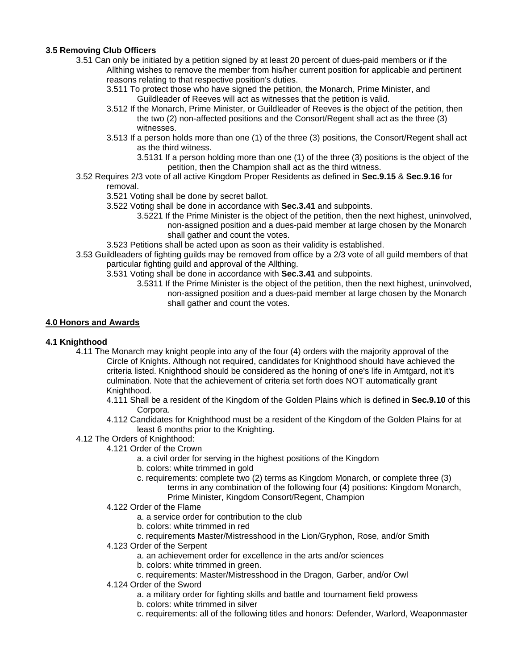# **3.5 Removing Club Officers**

- 3.51 Can only be initiated by a petition signed by at least 20 percent of dues-paid members or if the Allthing wishes to remove the member from his/her current position for applicable and pertinent reasons relating to that respective position's duties.
	- 3.511 To protect those who have signed the petition, the Monarch, Prime Minister, and Guildleader of Reeves will act as witnesses that the petition is valid.
	- 3.512 If the Monarch, Prime Minister, or Guildleader of Reeves is the object of the petition, then the two (2) non-affected positions and the Consort/Regent shall act as the three (3) witnesses.
	- 3.513 If a person holds more than one (1) of the three (3) positions, the Consort/Regent shall act as the third witness.
		- 3.5131 If a person holding more than one (1) of the three (3) positions is the object of the petition, then the Champion shall act as the third witness.
- 3.52 Requires 2/3 vote of all active Kingdom Proper Residents as defined in **Sec.9.15** & **Sec.9.16** for removal.

3.521 Voting shall be done by secret ballot.

- 3.522 Voting shall be done in accordance with **Sec.3.41** and subpoints.
	- 3.5221 If the Prime Minister is the object of the petition, then the next highest, uninvolved, non-assigned position and a dues-paid member at large chosen by the Monarch shall gather and count the votes.
- 3.523 Petitions shall be acted upon as soon as their validity is established.
- 3.53 Guildleaders of fighting guilds may be removed from office by a 2/3 vote of all guild members of that particular fighting guild and approval of the Allthing.
	- 3.531 Voting shall be done in accordance with **Sec.3.41** and subpoints.
		- 3.5311 If the Prime Minister is the object of the petition, then the next highest, uninvolved, non-assigned position and a dues-paid member at large chosen by the Monarch shall gather and count the votes.

# **4.0 Honors and Awards**

# **4.1 Knighthood**

- 4.11 The Monarch may knight people into any of the four (4) orders with the majority approval of the Circle of Knights. Although not required, candidates for Knighthood should have achieved the criteria listed. Knighthood should be considered as the honing of one's life in Amtgard, not it's culmination. Note that the achievement of criteria set forth does NOT automatically grant Knighthood.
	- 4.111 Shall be a resident of the Kingdom of the Golden Plains which is defined in **Sec.9.10** of this Corpora.
	- 4.112 Candidates for Knighthood must be a resident of the Kingdom of the Golden Plains for at least 6 months prior to the Knighting.
- 4.12 The Orders of Knighthood:
	- 4.121 Order of the Crown
		- a. a civil order for serving in the highest positions of the Kingdom
		- b. colors: white trimmed in gold
		- c. requirements: complete two (2) terms as Kingdom Monarch, or complete three (3) terms in any combination of the following four (4) positions: Kingdom Monarch, Prime Minister, Kingdom Consort/Regent, Champion
		- 4.122 Order of the Flame
			- a. a service order for contribution to the club
			- b. colors: white trimmed in red
				- c. requirements Master/Mistresshood in the Lion/Gryphon, Rose, and/or Smith
		- 4.123 Order of the Serpent
			- a. an achievement order for excellence in the arts and/or sciences
			- b. colors: white trimmed in green.
			- c. requirements: Master/Mistresshood in the Dragon, Garber, and/or Owl
		- 4.124 Order of the Sword
			- a. a military order for fighting skills and battle and tournament field prowess
			- b. colors: white trimmed in silver
			- c. requirements: all of the following titles and honors: Defender, Warlord, Weaponmaster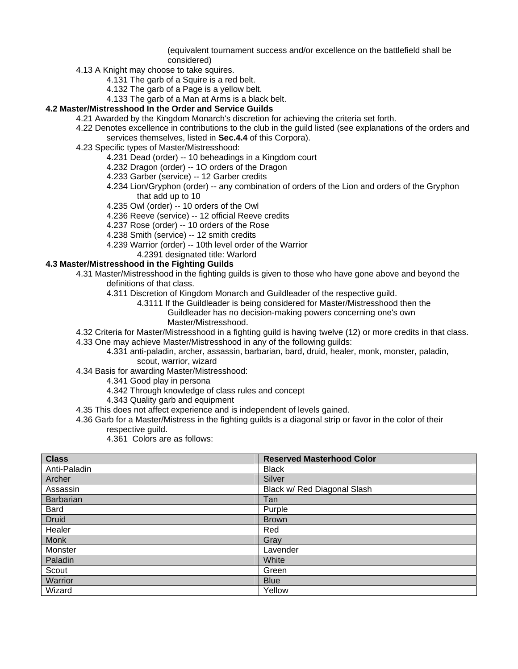(equivalent tournament success and/or excellence on the battlefield shall be considered)

- 4.13 A Knight may choose to take squires.
	- 4.131 The garb of a Squire is a red belt.
	- 4.132 The garb of a Page is a yellow belt.
	- 4.133 The garb of a Man at Arms is a black belt.

# **4.2 Master/Mistresshood In the Order and Service Guilds**

- 4.21 Awarded by the Kingdom Monarch's discretion for achieving the criteria set forth.
	- 4.22 Denotes excellence in contributions to the club in the guild listed (see explanations of the orders and services themselves, listed in **Sec.4.4** of this Corpora).
	- 4.23 Specific types of Master/Mistresshood:
		- 4.231 Dead (order) -- 10 beheadings in a Kingdom court
		- 4.232 Dragon (order) -- 1O orders of the Dragon
		- 4.233 Garber (service) -- 12 Garber credits
		- 4.234 Lion/Gryphon (order) -- any combination of orders of the Lion and orders of the Gryphon that add up to 10
		- 4.235 Owl (order) -- 10 orders of the Owl
		- 4.236 Reeve (service) -- 12 official Reeve credits
		- 4.237 Rose (order) -- 10 orders of the Rose
		- 4.238 Smith (service) -- 12 smith credits
		- 4.239 Warrior (order) -- 10th level order of the Warrior
			- 4.2391 designated title: Warlord

# **4.3 Master/Mistresshood in the Fighting Guilds**

- 4.31 Master/Mistresshood in the fighting guilds is given to those who have gone above and beyond the definitions of that class.
	- 4.311 Discretion of Kingdom Monarch and Guildleader of the respective guild.
		- 4.3111 If the Guildleader is being considered for Master/Mistresshood then the Guildleader has no decision-making powers concerning one's own
			- Master/Mistresshood.
- 4.32 Criteria for Master/Mistresshood in a fighting guild is having twelve (12) or more credits in that class.
- 4.33 One may achieve Master/Mistresshood in any of the following guilds:
	- 4.331 anti-paladin, archer, assassin, barbarian, bard, druid, healer, monk, monster, paladin, scout, warrior, wizard
- 4.34 Basis for awarding Master/Mistresshood:
	- 4.341 Good play in persona
	- 4.342 Through knowledge of class rules and concept
	- 4.343 Quality garb and equipment
- 4.35 This does not affect experience and is independent of levels gained.
- 4.36 Garb for a Master/Mistress in the fighting guilds is a diagonal strip or favor in the color of their respective guild.
	- 4.361 Colors are as follows:

| <b>Class</b>     | <b>Reserved Masterhood Color</b> |
|------------------|----------------------------------|
| Anti-Paladin     | <b>Black</b>                     |
| Archer           | Silver                           |
| Assassin         | Black w/ Red Diagonal Slash      |
| <b>Barbarian</b> | Tan                              |
| <b>Bard</b>      | Purple                           |
| <b>Druid</b>     | <b>Brown</b>                     |
| Healer           | Red                              |
| <b>Monk</b>      | Gray                             |
| Monster          | Lavender                         |
| Paladin          | White                            |
| Scout            | Green                            |
| Warrior          | <b>Blue</b>                      |
| Wizard           | Yellow                           |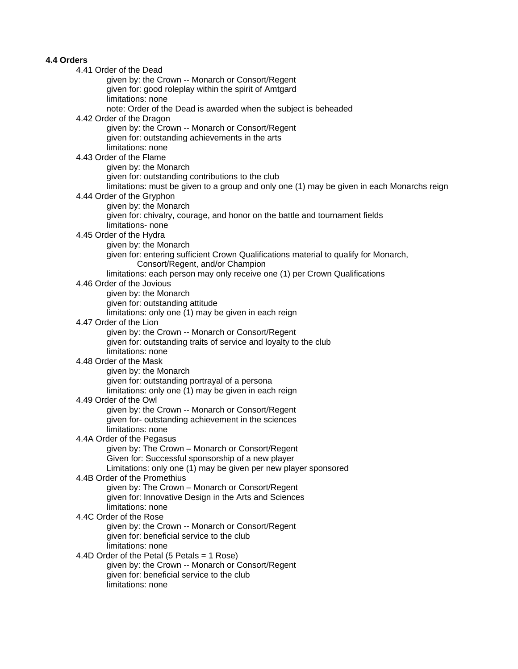#### **4.4 Orders**

 4.41 Order of the Dead given by: the Crown -- Monarch or Consort/Regent given for: good roleplay within the spirit of Amtgard limitations: none note: Order of the Dead is awarded when the subject is beheaded 4.42 Order of the Dragon given by: the Crown -- Monarch or Consort/Regent given for: outstanding achievements in the arts limitations: none 4.43 Order of the Flame given by: the Monarch given for: outstanding contributions to the club limitations: must be given to a group and only one (1) may be given in each Monarchs reign 4.44 Order of the Gryphon given by: the Monarch given for: chivalry, courage, and honor on the battle and tournament fields limitations- none 4.45 Order of the Hydra given by: the Monarch given for: entering sufficient Crown Qualifications material to qualify for Monarch, Consort/Regent, and/or Champion limitations: each person may only receive one (1) per Crown Qualifications 4.46 Order of the Jovious given by: the Monarch given for: outstanding attitude limitations: only one (1) may be given in each reign 4.47 Order of the Lion given by: the Crown -- Monarch or Consort/Regent given for: outstanding traits of service and loyalty to the club limitations: none 4.48 Order of the Mask given by: the Monarch given for: outstanding portrayal of a persona limitations: only one (1) may be given in each reign 4.49 Order of the Owl given by: the Crown -- Monarch or Consort/Regent given for- outstanding achievement in the sciences limitations: none 4.4A Order of the Pegasus given by: The Crown – Monarch or Consort/Regent Given for: Successful sponsorship of a new player Limitations: only one (1) may be given per new player sponsored 4.4B Order of the Promethius given by: The Crown – Monarch or Consort/Regent given for: Innovative Design in the Arts and Sciences limitations: none 4.4C Order of the Rose given by: the Crown -- Monarch or Consort/Regent given for: beneficial service to the club limitations: none 4.4D Order of the Petal (5 Petals = 1 Rose) given by: the Crown -- Monarch or Consort/Regent given for: beneficial service to the club limitations: none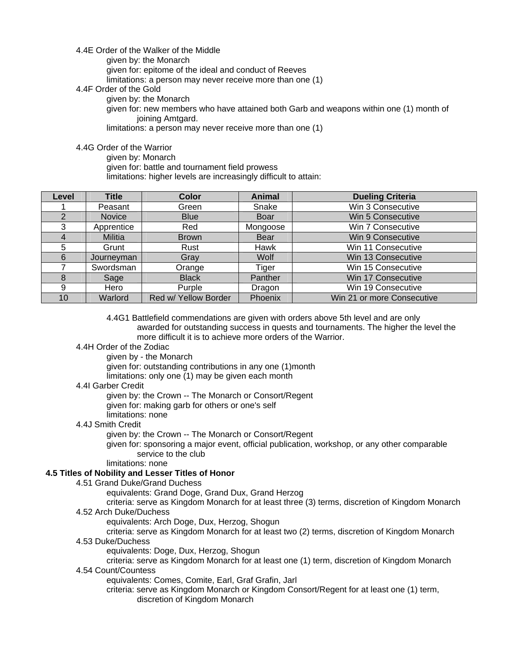#### 4.4E Order of the Walker of the Middle

given by: the Monarch

given for: epitome of the ideal and conduct of Reeves

limitations: a person may never receive more than one (1)

4.4F Order of the Gold

given by: the Monarch

 given for: new members who have attained both Garb and weapons within one (1) month of joining Amtgard.

limitations: a person may never receive more than one (1)

#### 4.4G Order of the Warrior

given by: Monarch

given for: battle and tournament field prowess

limitations: higher levels are increasingly difficult to attain:

| Level | <b>Title</b>  | <b>Color</b>         | <b>Animal</b> | <b>Dueling Criteria</b>    |
|-------|---------------|----------------------|---------------|----------------------------|
|       | Peasant       | Green                | Snake         | Win 3 Consecutive          |
|       | <b>Novice</b> | <b>Blue</b>          | Boar          | Win 5 Consecutive          |
| 3     | Apprentice    | Red                  | Mongoose      | Win 7 Consecutive          |
|       | Militia       | <b>Brown</b>         | <b>Bear</b>   | Win 9 Consecutive          |
| 5     | Grunt         | Rust                 | Hawk          | Win 11 Consecutive         |
| 6     | Journeyman    | Gray                 | Wolf          | Win 13 Consecutive         |
|       | Swordsman     | Orange               | Tiger         | Win 15 Consecutive         |
| 8     | Sage          | <b>Black</b>         | Panther       | Win 17 Consecutive         |
| 9     | Hero          | Purple               | Dragon        | Win 19 Consecutive         |
| 10    | Warlord       | Red w/ Yellow Border | Phoenix       | Win 21 or more Consecutive |

 4.4G1 Battlefield commendations are given with orders above 5th level and are only awarded for outstanding success in quests and tournaments. The higher the level the more difficult it is to achieve more orders of the Warrior.

# 4.4H Order of the Zodiac

 given by - the Monarch given for: outstanding contributions in any one (1)month limitations: only one (1) may be given each month

#### 4.4I Garber Credit

given by: the Crown -- The Monarch or Consort/Regent

given for: making garb for others or one's self

limitations: none

#### 4.4J Smith Credit

given by: the Crown -- The Monarch or Consort/Regent

 given for: sponsoring a major event, official publication, workshop, or any other comparable service to the club

#### limitations: none

# **4.5 Titles of Nobility and Lesser Titles of Honor**

4.51 Grand Duke/Grand Duchess

equivalents: Grand Doge, Grand Dux, Grand Herzog

 criteria: serve as Kingdom Monarch for at least three (3) terms, discretion of Kingdom Monarch 4.52 Arch Duke/Duchess

equivalents: Arch Doge, Dux, Herzog, Shogun

 criteria: serve as Kingdom Monarch for at least two (2) terms, discretion of Kingdom Monarch 4.53 Duke/Duchess

equivalents: Doge, Dux, Herzog, Shogun

 criteria: serve as Kingdom Monarch for at least one (1) term, discretion of Kingdom Monarch 4.54 Count/Countess

equivalents: Comes, Comite, Earl, Graf Grafin, Jarl

 criteria: serve as Kingdom Monarch or Kingdom Consort/Regent for at least one (1) term, discretion of Kingdom Monarch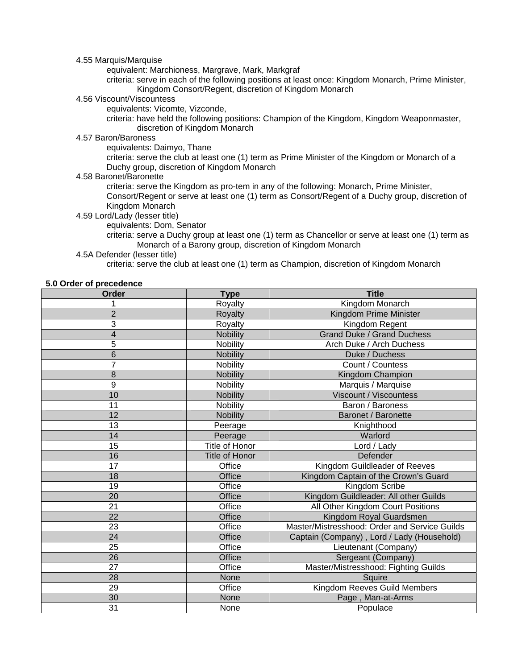#### 4.55 Marquis/Marquise

equivalent: Marchioness, Margrave, Mark, Markgraf

 criteria: serve in each of the following positions at least once: Kingdom Monarch, Prime Minister, Kingdom Consort/Regent, discretion of Kingdom Monarch

#### 4.56 Viscount/Viscountess

equivalents: Vicomte, Vizconde,

 criteria: have held the following positions: Champion of the Kingdom, Kingdom Weaponmaster, discretion of Kingdom Monarch

# 4.57 Baron/Baroness

equivalents: Daimyo, Thane

 criteria: serve the club at least one (1) term as Prime Minister of the Kingdom or Monarch of a Duchy group, discretion of Kingdom Monarch

4.58 Baronet/Baronette

 criteria: serve the Kingdom as pro-tem in any of the following: Monarch, Prime Minister, Consort/Regent or serve at least one (1) term as Consort/Regent of a Duchy group, discretion of Kingdom Monarch

#### 4.59 Lord/Lady (lesser title)

equivalents: Dom, Senator

 criteria: serve a Duchy group at least one (1) term as Chancellor or serve at least one (1) term as Monarch of a Barony group, discretion of Kingdom Monarch

#### 4.5A Defender (lesser title)

criteria: serve the club at least one (1) term as Champion, discretion of Kingdom Monarch

#### **5.0 Order of precedence**

| Order           | <b>Type</b>           | <b>Title</b>                                  |  |
|-----------------|-----------------------|-----------------------------------------------|--|
|                 | Royalty               | Kingdom Monarch                               |  |
| $\overline{2}$  | Royalty               | Kingdom Prime Minister                        |  |
| 3               | Royalty               | Kingdom Regent                                |  |
| 4               | <b>Nobility</b>       | <b>Grand Duke / Grand Duchess</b>             |  |
| 5               | Nobility              | Arch Duke / Arch Duchess                      |  |
| 6               | <b>Nobility</b>       | Duke / Duchess                                |  |
| $\overline{7}$  | Nobility              | Count / Countess                              |  |
| 8               | <b>Nobility</b>       | Kingdom Champion                              |  |
| 9               | Nobility              | Marquis / Marquise                            |  |
| 10              | <b>Nobility</b>       | Viscount / Viscountess                        |  |
| 11              | Nobility              | Baron / Baroness                              |  |
| 12              | <b>Nobility</b>       | Baronet / Baronette                           |  |
| 13              | Peerage               | Knighthood                                    |  |
| 14              | Peerage               | Warlord                                       |  |
| 15              | <b>Title of Honor</b> | Lord / Lady                                   |  |
| 16              | <b>Title of Honor</b> | Defender                                      |  |
| 17              | Office                | Kingdom Guildleader of Reeves                 |  |
| 18              | Office                | Kingdom Captain of the Crown's Guard          |  |
| 19              | Office                | Kingdom Scribe                                |  |
| 20              | Office                | Kingdom Guildleader: All other Guilds         |  |
| 21              | Office                | All Other Kingdom Court Positions             |  |
| 22              | Office                | Kingdom Royal Guardsmen                       |  |
| 23              | Office                | Master/Mistresshood: Order and Service Guilds |  |
| 24              | Office                | Captain (Company), Lord / Lady (Household)    |  |
| 25              | Office                | Lieutenant (Company)                          |  |
| 26              | <b>Office</b>         | Sergeant (Company)                            |  |
| 27              | Office                | Master/Mistresshood: Fighting Guilds          |  |
| 28              | None                  | Squire                                        |  |
| 29              | Office                | Kingdom Reeves Guild Members                  |  |
| 30              | None                  | Page, Man-at-Arms                             |  |
| $\overline{31}$ | None                  | Populace                                      |  |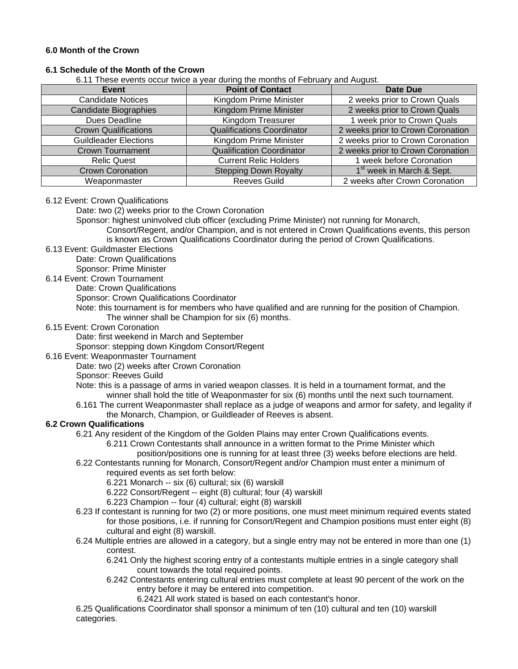#### **6.0 Month of the Crown**

# **6.1 Schedule of the Month of the Crown**

6.11 These events occur twice a year during the months of February and August.

| Event                        | <b>Point of Contact</b>           | Date Due                              |  |
|------------------------------|-----------------------------------|---------------------------------------|--|
| <b>Candidate Notices</b>     | Kingdom Prime Minister            | 2 weeks prior to Crown Quals          |  |
| Candidate Biographies        | Kingdom Prime Minister            | 2 weeks prior to Crown Quals          |  |
| Dues Deadline                | Kingdom Treasurer                 | 1 week prior to Crown Quals           |  |
| <b>Crown Qualifications</b>  | <b>Qualifications Coordinator</b> | 2 weeks prior to Crown Coronation     |  |
| <b>Guildleader Elections</b> | Kingdom Prime Minister            | 2 weeks prior to Crown Coronation     |  |
| <b>Crown Tournament</b>      | <b>Qualification Coordinator</b>  | 2 weeks prior to Crown Coronation     |  |
| <b>Relic Quest</b>           | <b>Current Relic Holders</b>      | 1 week before Coronation              |  |
| <b>Crown Coronation</b>      | <b>Stepping Down Royalty</b>      | 1 <sup>st</sup> week in March & Sept. |  |
| Weaponmaster                 | <b>Reeves Guild</b>               | 2 weeks after Crown Coronation        |  |

#### 6.12 Event: Crown Qualifications

Date: two (2) weeks prior to the Crown Coronation

Sponsor: highest uninvolved club officer (excluding Prime Minister) not running for Monarch,

 Consort/Regent, and/or Champion, and is not entered in Crown Qualifications events, this person is known as Crown Qualifications Coordinator during the period of Crown Qualifications.

6.13 Event: Guildmaster Elections

Date: Crown Qualifications

Sponsor: Prime Minister

#### 6.14 Event: Crown Tournament

Date: Crown Qualifications

Sponsor: Crown Qualifications Coordinator

 Note: this tournament is for members who have qualified and are running for the position of Champion. The winner shall be Champion for six (6) months.

#### 6.15 Event: Crown Coronation

Date: first weekend in March and September

Sponsor: stepping down Kingdom Consort/Regent

#### 6.16 Event: Weaponmaster Tournament

Date: two (2) weeks after Crown Coronation

Sponsor: Reeves Guild

 Note: this is a passage of arms in varied weapon classes. It is held in a tournament format, and the winner shall hold the title of Weaponmaster for six (6) months until the next such tournament.

 6.161 The current Weaponmaster shall replace as a judge of weapons and armor for safety, and legality if the Monarch, Champion, or Guildleader of Reeves is absent.

#### **6.2 Crown Qualifications**

6.21 Any resident of the Kingdom of the Golden Plains may enter Crown Qualifications events.

 6.211 Crown Contestants shall announce in a written format to the Prime Minister which position/positions one is running for at least three (3) weeks before elections are held.

 6.22 Contestants running for Monarch, Consort/Regent and/or Champion must enter a minimum of required events as set forth below:

6.221 Monarch -- six (6) cultural; six (6) warskill

- 6.222 Consort/Regent -- eight (8) cultural; four (4) warskill
- 6.223 Champion -- four (4) cultural; eight (8) warskill
- 6.23 If contestant is running for two (2) or more positions, one must meet minimum required events stated for those positions, i.e. if running for Consort/Regent and Champion positions must enter eight (8) cultural and eight (8) warskill.
- 6.24 Multiple entries are allowed in a category, but a single entry may not be entered in more than one (1) contest.

 6.241 Only the highest scoring entry of a contestants multiple entries in a single category shall count towards the total required points.

 6.242 Contestants entering cultural entries must complete at least 90 percent of the work on the entry before it may be entered into competition.

6.2421 All work stated is based on each contestant's honor.

 6.25 Qualifications Coordinator shall sponsor a minimum of ten (10) cultural and ten (10) warskill categories.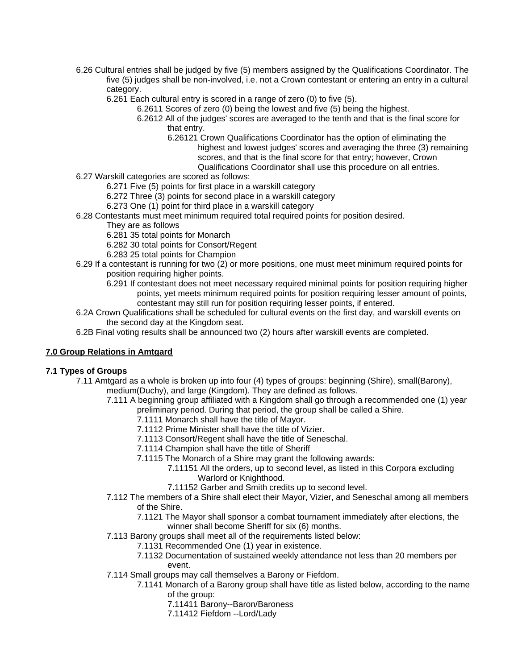- 6.26 Cultural entries shall be judged by five (5) members assigned by the Qualifications Coordinator. The five (5) judges shall be non-involved, i.e. not a Crown contestant or entering an entry in a cultural category.
	- 6.261 Each cultural entry is scored in a range of zero (0) to five (5).
		- 6.2611 Scores of zero (0) being the lowest and five (5) being the highest.
			- 6.2612 All of the judges' scores are averaged to the tenth and that is the final score for that entry.
				- 6.26121 Crown Qualifications Coordinator has the option of eliminating the highest and lowest judges' scores and averaging the three (3) remaining
					- scores, and that is the final score for that entry; however, Crown

Qualifications Coordinator shall use this procedure on all entries.

- 6.27 Warskill categories are scored as follows:
	- 6.271 Five (5) points for first place in a warskill category
	- 6.272 Three (3) points for second place in a warskill category
	- 6.273 One (1) point for third place in a warskill category
- 6.28 Contestants must meet minimum required total required points for position desired.
	- They are as follows
	- 6.281 35 total points for Monarch
	- 6.282 30 total points for Consort/Regent
	- 6.283 25 total points for Champion
- 6.29 If a contestant is running for two (2) or more positions, one must meet minimum required points for position requiring higher points.
	- 6.291 If contestant does not meet necessary required minimal points for position requiring higher points, yet meets minimum required points for position requiring lesser amount of points, contestant may still run for position requiring lesser points, if entered.
- 6.2A Crown Qualifications shall be scheduled for cultural events on the first day, and warskill events on the second day at the Kingdom seat.
- 6.2B Final voting results shall be announced two (2) hours after warskill events are completed.

# **7.0 Group Relations in Amtgard**

#### **7.1 Types of Groups**

- 7.11 Amtgard as a whole is broken up into four (4) types of groups: beginning (Shire), small(Barony), medium(Duchy), and large (Kingdom). They are defined as follows.
	- 7.111 A beginning group affiliated with a Kingdom shall go through a recommended one (1) year preliminary period. During that period, the group shall be called a Shire.
		- 7.1111 Monarch shall have the title of Mayor.
		- 7.1112 Prime Minister shall have the title of Vizier.
		- 7.1113 Consort/Regent shall have the title of Seneschal.
		- 7.1114 Champion shall have the title of Sheriff
		- 7.1115 The Monarch of a Shire may grant the following awards:
			- 7.11151 All the orders, up to second level, as listed in this Corpora excluding Warlord or Knighthood.
			- 7.11152 Garber and Smith credits up to second level.
	- 7.112 The members of a Shire shall elect their Mayor, Vizier, and Seneschal among all members of the Shire.
		- 7.1121 The Mayor shall sponsor a combat tournament immediately after elections, the
		- winner shall become Sheriff for six (6) months.
	- 7.113 Barony groups shall meet all of the requirements listed below:
		- 7.1131 Recommended One (1) year in existence.
		- 7.1132 Documentation of sustained weekly attendance not less than 20 members per event.
	- 7.114 Small groups may call themselves a Barony or Fiefdom.
		- 7.1141 Monarch of a Barony group shall have title as listed below, according to the name of the group:
			- 7.11411 Barony--Baron/Baroness
			- 7.11412 Fiefdom --Lord/Lady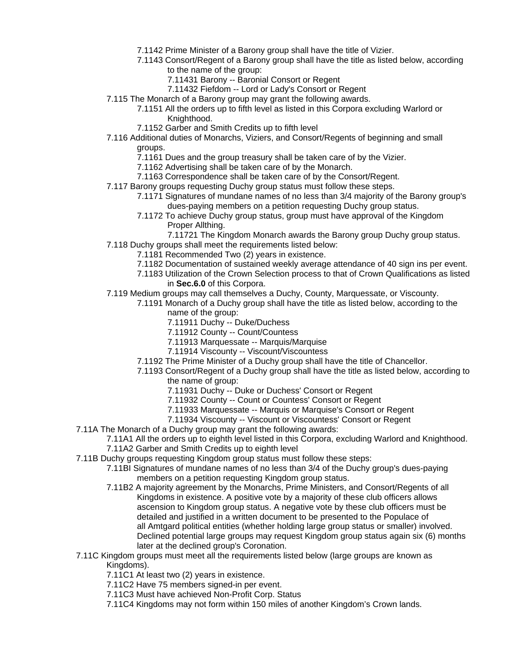- 7.1142 Prime Minister of a Barony group shall have the title of Vizier.
- 7.1143 Consort/Regent of a Barony group shall have the title as listed below, according to the name of the group:
	- 7.11431 Barony -- Baronial Consort or Regent
	- 7.11432 Fiefdom -- Lord or Lady's Consort or Regent
- 7.115 The Monarch of a Barony group may grant the following awards.
	- 7.1151 All the orders up to fifth level as listed in this Corpora excluding Warlord or Knighthood.
	- 7.1152 Garber and Smith Credits up to fifth level
- 7.116 Additional duties of Monarchs, Viziers, and Consort/Regents of beginning and small

groups.

- 7.1161 Dues and the group treasury shall be taken care of by the Vizier.
- 7.1162 Advertising shall be taken care of by the Monarch.
- 7.1163 Correspondence shall be taken care of by the Consort/Regent.
- 7.117 Barony groups requesting Duchy group status must follow these steps.
	- 7.1171 Signatures of mundane names of no less than 3/4 majority of the Barony group's dues-paying members on a petition requesting Duchy group status.
	- 7.1172 To achieve Duchy group status, group must have approval of the Kingdom Proper Allthing.
- 7.11721 The Kingdom Monarch awards the Barony group Duchy group status. 7.118 Duchy groups shall meet the requirements listed below:
	- 7.1181 Recommended Two (2) years in existence.
	- 7.1182 Documentation of sustained weekly average attendance of 40 sign ins per event.
	- 7.1183 Utilization of the Crown Selection process to that of Crown Qualifications as listed in **Sec.6.0** of this Corpora.
- 7.119 Medium groups may call themselves a Duchy, County, Marquessate, or Viscounty.
	- 7.1191 Monarch of a Duchy group shall have the title as listed below, according to the name of the group:
		- 7.11911 Duchy -- Duke/Duchess
		- 7.11912 County -- Count/Countess
		- 7.11913 Marquessate -- Marquis/Marquise
		- 7.11914 Viscounty -- Viscount/Viscountess
		- 7.1192 The Prime Minister of a Duchy group shall have the title of Chancellor.
		- 7.1193 Consort/Regent of a Duchy group shall have the title as listed below, according to the name of group:
			- 7.11931 Duchy -- Duke or Duchess' Consort or Regent
			- 7.11932 County -- Count or Countess' Consort or Regent
			- 7.11933 Marquessate -- Marquis or Marquise's Consort or Regent
			- 7.11934 Viscounty -- Viscount or Viscountess' Consort or Regent
- 7.11A The Monarch of a Duchy group may grant the following awards:
	- 7.11A1 All the orders up to eighth level listed in this Corpora, excluding Warlord and Knighthood. 7.11A2 Garber and Smith Credits up to eighth level
- 7.11B Duchy groups requesting Kingdom group status must follow these steps:
	- 7.11BI Signatures of mundane names of no less than 3/4 of the Duchy group's dues-paying members on a petition requesting Kingdom group status.
	- 7.11B2 A majority agreement by the Monarchs, Prime Ministers, and Consort/Regents of all Kingdoms in existence. A positive vote by a majority of these club officers allows ascension to Kingdom group status. A negative vote by these club officers must be detailed and justified in a written document to be presented to the Populace of all Amtgard political entities (whether holding large group status or smaller) involved. Declined potential large groups may request Kingdom group status again six (6) months later at the declined group's Coronation.
- 7.11C Kingdom groups must meet all the requirements listed below (large groups are known as Kingdoms).
	- 7.11C1 At least two (2) years in existence.
	- 7.11C2 Have 75 members signed-in per event.
	- 7.11C3 Must have achieved Non-Profit Corp. Status
	- 7.11C4 Kingdoms may not form within 150 miles of another Kingdom's Crown lands.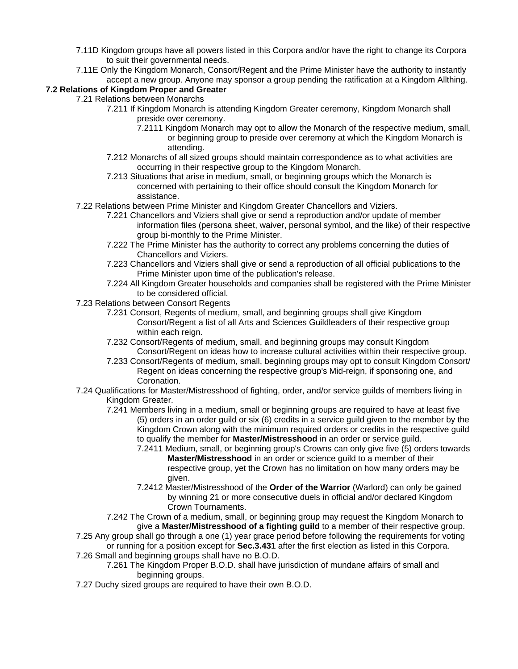- 7.11D Kingdom groups have all powers listed in this Corpora and/or have the right to change its Corpora to suit their governmental needs.
- 7.11E Only the Kingdom Monarch, Consort/Regent and the Prime Minister have the authority to instantly accept a new group. Anyone may sponsor a group pending the ratification at a Kingdom Allthing.

# **7.2 Relations of Kingdom Proper and Greater**

- 7.21 Relations between Monarchs
	- 7.211 If Kingdom Monarch is attending Kingdom Greater ceremony, Kingdom Monarch shall preside over ceremony.
		- 7.2111 Kingdom Monarch may opt to allow the Monarch of the respective medium, small, or beginning group to preside over ceremony at which the Kingdom Monarch is attending.
	- 7.212 Monarchs of all sized groups should maintain correspondence as to what activities are occurring in their respective group to the Kingdom Monarch.
	- 7.213 Situations that arise in medium, small, or beginning groups which the Monarch is concerned with pertaining to their office should consult the Kingdom Monarch for assistance.
	- 7.22 Relations between Prime Minister and Kingdom Greater Chancellors and Viziers.
		- 7.221 Chancellors and Viziers shall give or send a reproduction and/or update of member information files (persona sheet, waiver, personal symbol, and the like) of their respective group bi-monthly to the Prime Minister.
		- 7.222 The Prime Minister has the authority to correct any problems concerning the duties of Chancellors and Viziers.
		- 7.223 Chancellors and Viziers shall give or send a reproduction of all official publications to the Prime Minister upon time of the publication's release.
		- 7.224 All Kingdom Greater households and companies shall be registered with the Prime Minister to be considered official.
	- 7.23 Relations between Consort Regents
		- 7.231 Consort, Regents of medium, small, and beginning groups shall give Kingdom Consort/Regent a list of all Arts and Sciences Guildleaders of their respective group within each reign.
		- 7.232 Consort/Regents of medium, small, and beginning groups may consult Kingdom Consort/Regent on ideas how to increase cultural activities within their respective group.
		- 7.233 Consort/Regents of medium, small, beginning groups may opt to consult Kingdom Consort/ Regent on ideas concerning the respective group's Mid-reign, if sponsoring one, and Coronation.
	- 7.24 Qualifications for Master/Mistresshood of fighting, order, and/or service guilds of members living in Kingdom Greater.
		- 7.241 Members living in a medium, small or beginning groups are required to have at least five (5) orders in an order guild or six (6) credits in a service guild given to the member by the Kingdom Crown along with the minimum required orders or credits in the respective guild to qualify the member for **Master/Mistresshood** in an order or service guild.
			- 7.2411 Medium, small, or beginning group's Crowns can only give five (5) orders towards **Master/Mistresshood** in an order or science guild to a member of their respective group, yet the Crown has no limitation on how many orders may be given.
			- 7.2412 Master/Mistresshood of the **Order of the Warrior** (Warlord) can only be gained by winning 21 or more consecutive duels in official and/or declared Kingdom Crown Tournaments.
		- 7.242 The Crown of a medium, small, or beginning group may request the Kingdom Monarch to give a **Master/Mistresshood of a fighting guild** to a member of their respective group.
	- 7.25 Any group shall go through a one (1) year grace period before following the requirements for voting or running for a position except for **Sec.3.431** after the first election as listed in this Corpora.
	- 7.26 Small and beginning groups shall have no B.O.D.
		- 7.261 The Kingdom Proper B.O.D. shall have jurisdiction of mundane affairs of small and beginning groups.
	- 7.27 Duchy sized groups are required to have their own B.O.D.